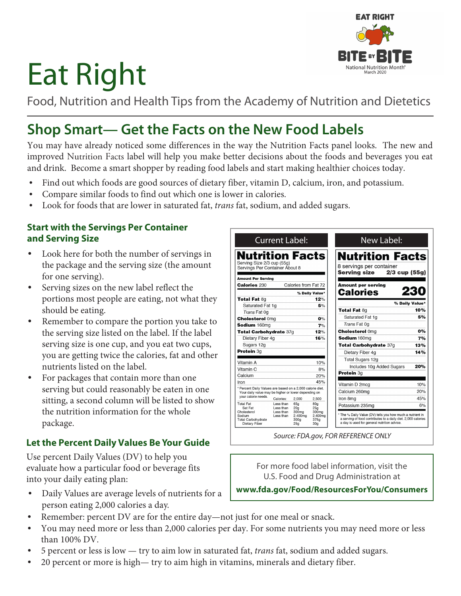# Eat Right

Food, Nutrition and Health Tips from the Academy of Nutrition and Dietetics

# **Shop Smart— Get the Facts on the New Food Labels**

You may have already noticed some differences in the way the Nutrition Facts panel looks. The new and improved Nutrition Facts label will help you make better decisions about the foods and beverages you eat and drink. Become a smart shopper by reading food labels and start making healthier choices today.

- Find out which foods are good sources of dietary fiber, vitamin D, calcium, iron, and potassium.
- Compare similar foods to find out which one is lower in calories.
- Look for foods that are lower in saturated fat, *trans* fat, sodium, and added sugars.

#### **Start with the Servings Per Container and Serving Size**

- Look here for both the number of servings in the package and the serving size (the amount for one serving).
- Serving sizes on the new label reflect the portions most people are eating, not what they should be eating.
- Remember to compare the portion you take to the serving size listed on the label. If the label serving size is one cup, and you eat two cups, you are getting twice the calories, fat and other nutrients listed on the label.
- For packages that contain more than one serving but could reasonably be eaten in one sitting, a second column will be listed to show the nutrition information for the whole package.

# **Let the Percent Daily Values Be Your Guide**

Use percent Daily Values (DV) to help you evaluate how a particular food or beverage fits into your daily eating plan:

• Daily Values are average levels of nutrients for a person eating 2,000 calories a day.



For more food label information, visit the U.S. Food and Drug Administration at

**www.fda.gov/Food/ResourcesForYou/Consumers**

- Remember: percent DV are for the entire day—not just for one meal or snack.
- You may need more or less than 2,000 calories per day. For some nutrients you may need more or less than 100% DV.
- 5 percent or less is low try to aim low in saturated fat, *trans* fat, sodium and added sugars.
- 20 percent or more is high— try to aim high in vitamins, minerals and dietary fiber.